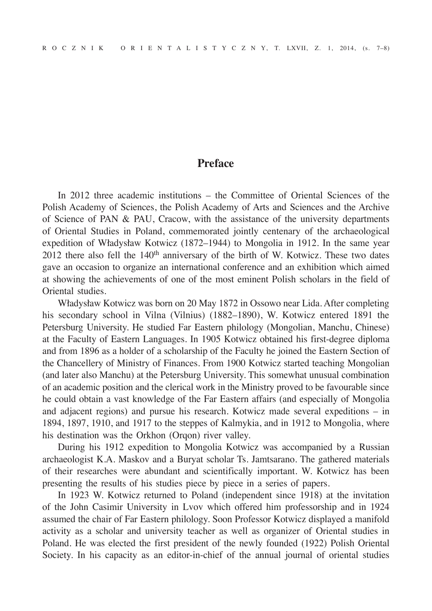## **Preface**

In 2012 three academic institutions – the Committee of Oriental Sciences of the Polish Academy of Sciences, the Polish Academy of Arts and Sciences and the Archive of Science of PAN & PAU, Cracow, with the assistance of the university departments of Oriental Studies in Poland, commemorated jointly centenary of the archaeological expedition of Władysław Kotwicz (1872–1944) to Mongolia in 1912. In the same year  $2012$  there also fell the  $140<sup>th</sup>$  anniversary of the birth of W. Kotwicz. These two dates gave an occasion to organize an international conference and an exhibition which aimed at showing the achievements of one of the most eminent Polish scholars in the field of Oriental studies.

Władysław Kotwicz was born on 20 May 1872 in Ossowo near Lida. After completing his secondary school in Vilna (Vilnius) (1882–1890), W. Kotwicz entered 1891 the Petersburg University. He studied Far Eastern philology (Mongolian, Manchu, Chinese) at the Faculty of Eastern Languages. In 1905 Kotwicz obtained his first-degree diploma and from 1896 as a holder of a scholarship of the Faculty he joined the Eastern Section of the Chancellery of Ministry of Finances. From 1900 Kotwicz started teaching Mongolian (and later also Manchu) at the Petersburg University. This somewhat unusual combination of an academic position and the clerical work in the Ministry proved to be favourable since he could obtain a vast knowledge of the Far Eastern affairs (and especially of Mongolia and adjacent regions) and pursue his research. Kotwicz made several expeditions – in 1894, 1897, 1910, and 1917 to the steppes of Kalmykia, and in 1912 to Mongolia, where his destination was the Orkhon (Orqon) river valley.

During his 1912 expedition to Mongolia Kotwicz was accompanied by a Russian archaeologist K.A. Maskov and a Buryat scholar Ts. Jamtsarano. The gathered materials of their researches were abundant and scientifically important. W. Kotwicz has been presenting the results of his studies piece by piece in a series of papers.

In 1923 W. Kotwicz returned to Poland (independent since 1918) at the invitation of the John Casimir University in Lvov which offered him professorship and in 1924 assumed the chair of Far Eastern philology. Soon Professor Kotwicz displayed a manifold activity as a scholar and university teacher as well as organizer of Oriental studies in Poland. He was elected the first president of the newly founded (1922) Polish Oriental Society. In his capacity as an editor-in-chief of the annual journal of oriental studies